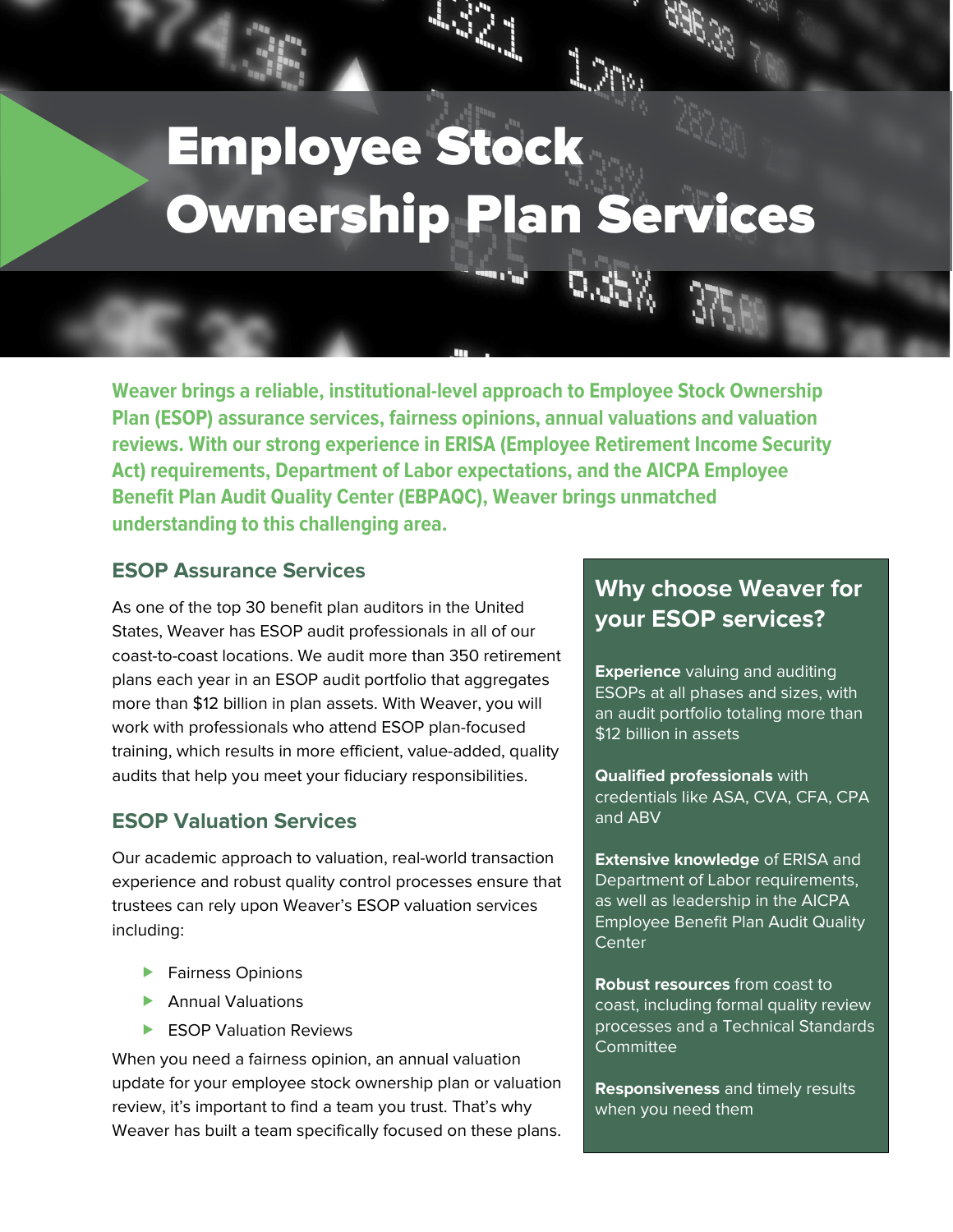# Employee Stock Ownership Plan Services

 $\sim 2\%$ 

**Weaver brings a reliable, institutional-level approach to Employee Stock Ownership Plan (ESOP) assurance services, fairness opinions, annual valuations and valuation reviews. With our strong experience in ERISA (Employee Retirement Income Security Act) requirements, Department of Labor expectations, and the AICPA Employee Benefit Plan Audit Quality Center (EBPAQC), Weaver brings unmatched understanding to this challenging area.**

## **ESOP Assurance Services**

As one of the top 30 benefit plan auditors in the United States, Weaver has ESOP audit professionals in all of our coast-to-coast locations. We audit more than 350 retirement plans each year in an ESOP audit portfolio that aggregates more than \$12 billion in plan assets. With Weaver, you will work with professionals who attend ESOP plan-focused training, which results in more efficient, value-added, quality audits that help you meet your fiduciary responsibilities.

## **ESOP Valuation Services**

Our academic approach to valuation, real-world transaction experience and robust quality control processes ensure that trustees can rely upon Weaver's ESOP valuation services including:

- **Fairness Opinions**
- **Annual Valuations**
- ESOP Valuation Reviews

When you need a fairness opinion, an annual valuation update for your employee stock ownership plan or valuation review, it's important to find a team you trust. That's why Weaver has built a team specifically focused on these plans.

# **Why choose Weaver for your ESOP services?**

**Experience** valuing and auditing ESOPs at all phases and sizes, with an audit portfolio totaling more than \$12 billion in assets

**Qualified professionals** with credentials like ASA, CVA, CFA, CPA and ABV

**Extensive knowledge** of ERISA and Department of Labor requirements, as well as leadership in the AICPA Employee Benefit Plan Audit Quality **Center** 

**Robust resources** from coast to coast, including formal quality review processes and a Technical Standards **Committee** 

**Responsiveness** and timely results when you need them